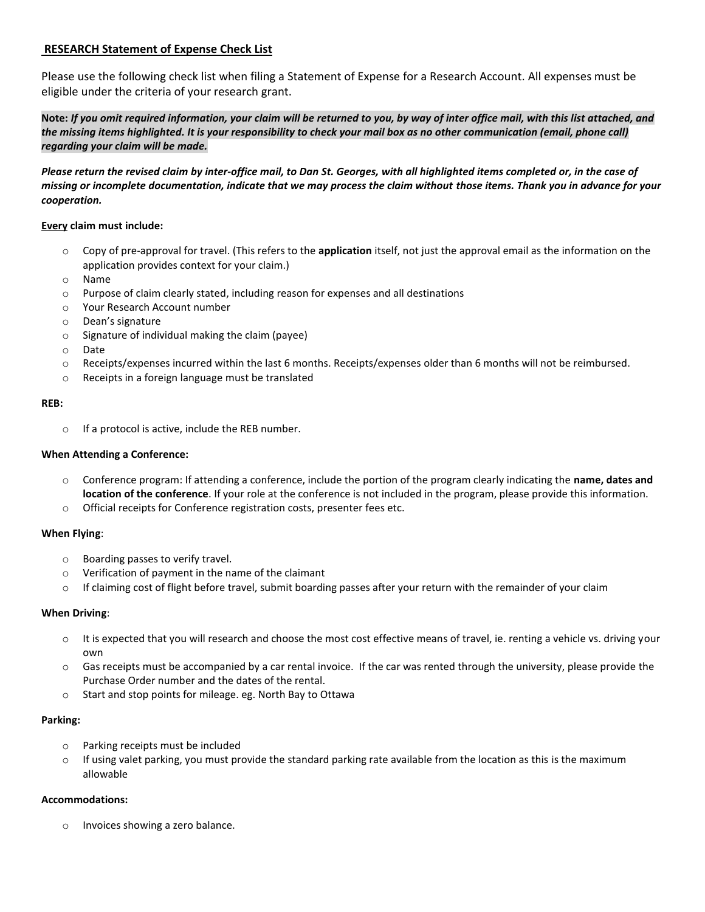# **RESEARCH Statement of Expense Check List**

Please use the following check list when filing a Statement of Expense for a Research Account. All expenses must be eligible under the criteria of your research grant.

**Note:** *If you omit required information, your claim will be returned to you, by way of inter office mail, with this list attached, and the missing items highlighted. It is your responsibility to check your mail box as no other communication (email, phone call) regarding your claim will be made.* 

*Please return the revised claim by inter-office mail, to Dan St. Georges, with all highlighted items completed or, in the case of missing or incomplete documentation, indicate that we may process the claim without those items. Thank you in advance for your cooperation.*

### **Every claim must include:**

- o Copy of pre-approval for travel. (This refers to the **application** itself, not just the approval email as the information on the application provides context for your claim.)
- o Name
- o Purpose of claim clearly stated, including reason for expenses and all destinations
- o Your Research Account number
- o Dean's signature
- o Signature of individual making the claim (payee)
- o Date
- o Receipts/expenses incurred within the last 6 months. Receipts/expenses older than 6 months will not be reimbursed.
- o Receipts in a foreign language must be translated

#### **REB:**

o If a protocol is active, include the REB number.

#### **When Attending a Conference:**

- o Conference program: If attending a conference, include the portion of the program clearly indicating the **name, dates and location of the conference**. If your role at the conference is not included in the program, please provide this information.
- o Official receipts for Conference registration costs, presenter fees etc.

#### **When Flying**:

- o Boarding passes to verify travel.
- o Verification of payment in the name of the claimant
- o If claiming cost of flight before travel, submit boarding passes after your return with the remainder of your claim

### **When Driving**:

- o It is expected that you will research and choose the most cost effective means of travel, ie. renting a vehicle vs. driving your own
- $\circ$  Gas receipts must be accompanied by a car rental invoice. If the car was rented through the university, please provide the Purchase Order number and the dates of the rental.
- o Start and stop points for mileage. eg. North Bay to Ottawa

### **Parking:**

- o Parking receipts must be included
- $\circ$  If using valet parking, you must provide the standard parking rate available from the location as this is the maximum allowable

### **Accommodations:**

o Invoices showing a zero balance.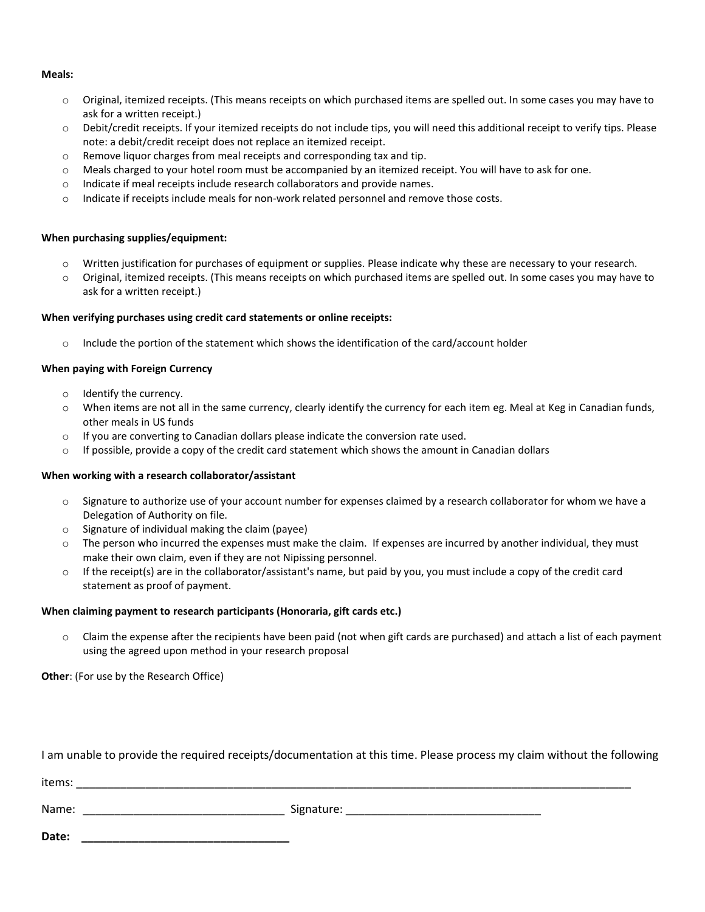### **Meals:**

- o Original, itemized receipts. (This means receipts on which purchased items are spelled out. In some cases you may have to ask for a written receipt.)
- o Debit/credit receipts. If your itemized receipts do not include tips, you will need this additional receipt to verify tips. Please note: a debit/credit receipt does not replace an itemized receipt.
- o Remove liquor charges from meal receipts and corresponding tax and tip.
- o Meals charged to your hotel room must be accompanied by an itemized receipt. You will have to ask for one.
- o Indicate if meal receipts include research collaborators and provide names.
- o Indicate if receipts include meals for non-work related personnel and remove those costs.

# **When purchasing supplies/equipment:**

- $\circ$  Written justification for purchases of equipment or supplies. Please indicate why these are necessary to your research.
- o Original, itemized receipts. (This means receipts on which purchased items are spelled out. In some cases you may have to ask for a written receipt.)

# **When verifying purchases using credit card statements or online receipts:**

o Include the portion of the statement which shows the identification of the card/account holder

# **When paying with Foreign Currency**

- o Identify the currency.
- o When items are not all in the same currency, clearly identify the currency for each item eg. Meal at Keg in Canadian funds, other meals in US funds
- o If you are converting to Canadian dollars please indicate the conversion rate used.
- o If possible, provide a copy of the credit card statement which shows the amount in Canadian dollars

# **When working with a research collaborator/assistant**

- $\circ$  Signature to authorize use of your account number for expenses claimed by a research collaborator for whom we have a Delegation of Authority on file.
- o Signature of individual making the claim (payee)
- $\circ$  The person who incurred the expenses must make the claim. If expenses are incurred by another individual, they must make their own claim, even if they are not Nipissing personnel.
- $\circ$  If the receipt(s) are in the collaborator/assistant's name, but paid by you, you must include a copy of the credit card statement as proof of payment.

# **When claiming payment to research participants (Honoraria, gift cards etc.)**

o Claim the expense after the recipients have been paid (not when gift cards are purchased) and attach a list of each payment using the agreed upon method in your research proposal

**Other**: (For use by the Research Office)

I am unable to provide the required receipts/documentation at this time. Please process my claim without the following

items: \_\_\_\_\_\_\_\_\_\_\_\_\_\_\_\_\_\_\_\_\_\_\_\_\_\_\_\_\_\_\_\_\_\_\_\_\_\_\_\_\_\_\_\_\_\_\_\_\_\_\_\_\_\_\_\_\_\_\_\_\_\_\_\_\_\_\_\_\_\_\_\_\_\_\_\_\_\_\_\_\_\_\_\_\_\_\_\_

Name: \_\_\_\_\_\_\_\_\_\_\_\_\_\_\_\_\_\_\_\_\_\_\_\_\_\_\_\_\_\_\_\_ Signature: \_\_\_\_\_\_\_\_\_\_\_\_\_\_\_\_\_\_\_\_\_\_\_\_\_\_\_\_\_\_\_

**Date: \_\_\_\_\_\_\_\_\_\_\_\_\_\_\_\_\_\_\_\_\_\_\_\_\_\_\_\_\_\_\_\_\_**